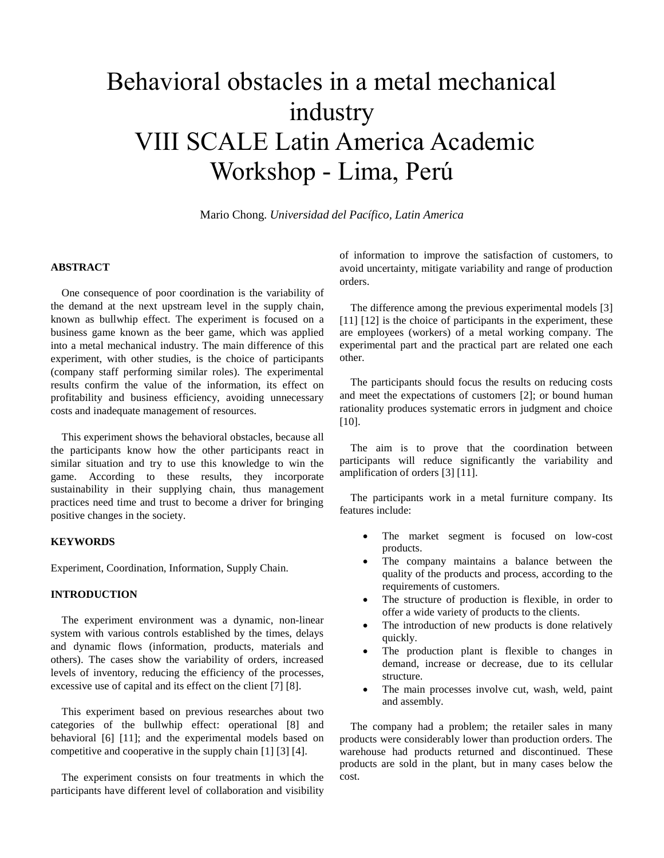# Behavioral obstacles in a metal mechanical industry VIII SCALE Latin America Academic Workshop - Lima, Perú

Mario Chong. *Universidad del Pacífico, Latin America*

# **ABSTRACT**

One consequence of poor coordination is the variability of the demand at the next upstream level in the supply chain, known as bullwhip effect. The experiment is focused on a business game known as the beer game, which was applied into a metal mechanical industry. The main difference of this experiment, with other studies, is the choice of participants (company staff performing similar roles). The experimental results confirm the value of the information, its effect on profitability and business efficiency, avoiding unnecessary costs and inadequate management of resources.

This experiment shows the behavioral obstacles, because all the participants know how the other participants react in similar situation and try to use this knowledge to win the game. According to these results, they incorporate sustainability in their supplying chain, thus management practices need time and trust to become a driver for bringing positive changes in the society.

## **KEYWORDS**

Experiment, Coordination, Information, Supply Chain.

#### **INTRODUCTION**

The experiment environment was a dynamic, non-linear system with various controls established by the times, delays and dynamic flows (information, products, materials and others). The cases show the variability of orders, increased levels of inventory, reducing the efficiency of the processes, excessive use of capital and its effect on the client [7] [8].

This experiment based on previous researches about two categories of the bullwhip effect: operational [8] and behavioral [6] [11]; and the experimental models based on competitive and cooperative in the supply chain [1] [3] [4].

The experiment consists on four treatments in which the participants have different level of collaboration and visibility of information to improve the satisfaction of customers, to avoid uncertainty, mitigate variability and range of production orders.

The difference among the previous experimental models [3] [11] [12] is the choice of participants in the experiment, these are employees (workers) of a metal working company. The experimental part and the practical part are related one each other.

The participants should focus the results on reducing costs and meet the expectations of customers [2]; or bound human rationality produces systematic errors in judgment and choice [10].

The aim is to prove that the coordination between participants will reduce significantly the variability and amplification of orders [3] [11].

The participants work in a metal furniture company. Its features include:

- The market segment is focused on low-cost products.
- The company maintains a balance between the quality of the products and process, according to the requirements of customers.
- The structure of production is flexible, in order to offer a wide variety of products to the clients.
- The introduction of new products is done relatively quickly.
- The production plant is flexible to changes in demand, increase or decrease, due to its cellular structure.
- The main processes involve cut, wash, weld, paint and assembly.

The company had a problem; the retailer sales in many products were considerably lower than production orders. The warehouse had products returned and discontinued. These products are sold in the plant, but in many cases below the cost.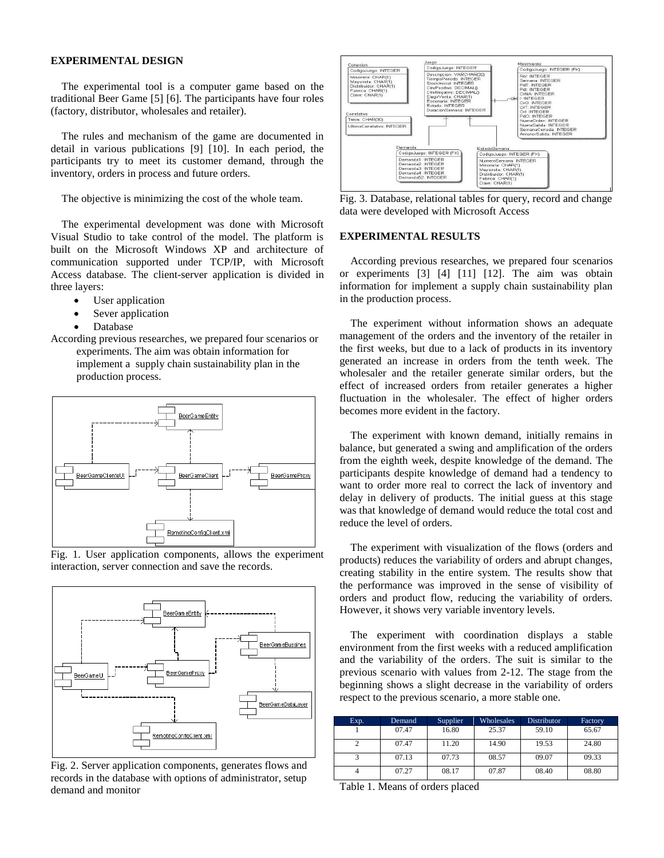## **EXPERIMENTAL DESIGN**

The experimental tool is a computer game based on the traditional Beer Game [5] [6]. The participants have four roles (factory, distributor, wholesales and retailer).

The rules and mechanism of the game are documented in detail in various publications [9] [10]. In each period, the participants try to meet its customer demand, through the inventory, orders in process and future orders.

The objective is minimizing the cost of the whole team.

The experimental development was done with Microsoft Visual Studio to take control of the model. The platform is built on the Microsoft Windows XP and architecture of communication supported under TCP/IP, with Microsoft Access database. The client-server application is divided in three layers:

- User application
- Sever application
- Database

According previous researches, we prepared four scenarios or experiments. The aim was obtain information for implement a supply chain sustainability plan in the production process.







Fig. 2. Server application components, generates flows and records in the database with options of administrator, setup demand and monitor



Fig. 3. Database, relational tables for query, record and change data were developed with Microsoft Access

#### **EXPERIMENTAL RESULTS**

According previous researches, we prepared four scenarios or experiments [3] [4] [11] [12]. The aim was obtain information for implement a supply chain sustainability plan in the production process.

The experiment without information shows an adequate management of the orders and the inventory of the retailer in the first weeks, but due to a lack of products in its inventory generated an increase in orders from the tenth week. The wholesaler and the retailer generate similar orders, but the effect of increased orders from retailer generates a higher fluctuation in the wholesaler. The effect of higher orders becomes more evident in the factory.

The experiment with known demand, initially remains in balance, but generated a swing and amplification of the orders from the eighth week, despite knowledge of the demand. The participants despite knowledge of demand had a tendency to want to order more real to correct the lack of inventory and delay in delivery of products. The initial guess at this stage was that knowledge of demand would reduce the total cost and reduce the level of orders.

The experiment with visualization of the flows (orders and products) reduces the variability of orders and abrupt changes, creating stability in the entire system. The results show that the performance was improved in the sense of visibility of orders and product flow, reducing the variability of orders. However, it shows very variable inventory levels.

The experiment with coordination displays a stable environment from the first weeks with a reduced amplification and the variability of the orders. The suit is similar to the previous scenario with values from 2-12. The stage from the beginning shows a slight decrease in the variability of orders respect to the previous scenario, a more stable one.

| Exp. | Demand | Supplier | Wholesales | Distributor | Factory |
|------|--------|----------|------------|-------------|---------|
|      | 07.47  | 16.80    | 25.37      | 59.10       | 65.67   |
|      | 07.47  | 11.20    | 14.90      | 19.53       | 24.80   |
|      | 07.13  | 07.73    | 08.57      | 09.07       | 09.33   |
|      | 07.27  | 08.17    | 07.87      | 08.40       | 08.80   |

Table 1. Means of orders placed